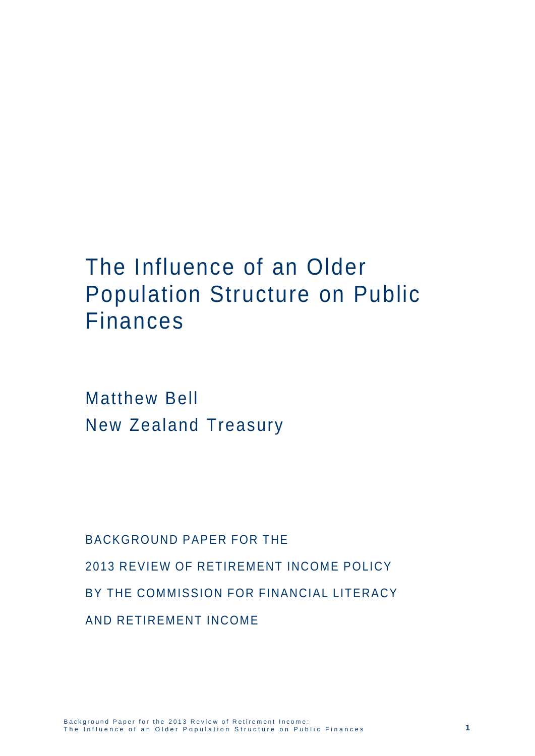# The Influence of an Older Population Structure on Public Finances

Matthew Bell New Zealand Treasury

BACKGROUND PAPER FOR THE 2013 REVIEW OF RETIREMENT INCOME POLICY BY THE COMMISSION FOR FINANCIAL LITERACY AND RETIREMENT INCOME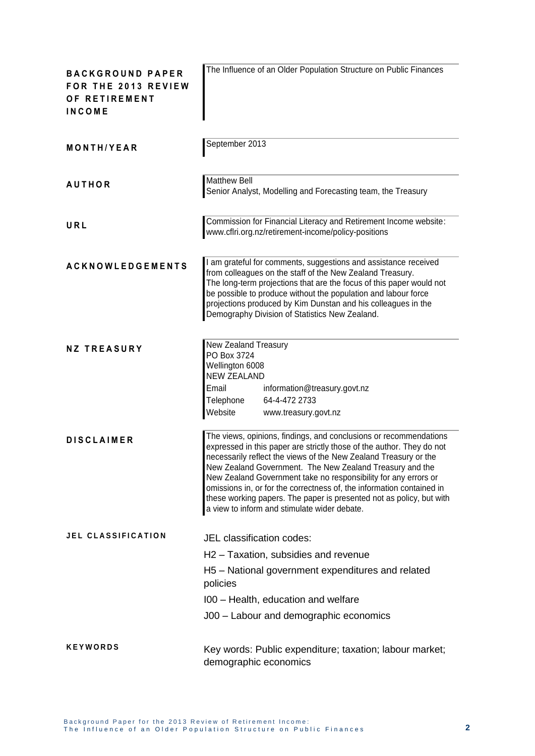| <b>BACKGROUND PAPER</b><br>FOR THE 2013 REVIEW<br>OF RETIREMENT<br><b>INCOME</b> | The Influence of an Older Population Structure on Public Finances                                                                                                                                                                                                                                                                                                                                                                                                                                                                              |
|----------------------------------------------------------------------------------|------------------------------------------------------------------------------------------------------------------------------------------------------------------------------------------------------------------------------------------------------------------------------------------------------------------------------------------------------------------------------------------------------------------------------------------------------------------------------------------------------------------------------------------------|
| MONTH/YEAR                                                                       | September 2013                                                                                                                                                                                                                                                                                                                                                                                                                                                                                                                                 |
| <b>AUTHOR</b>                                                                    | <b>Matthew Bell</b><br>Senior Analyst, Modelling and Forecasting team, the Treasury                                                                                                                                                                                                                                                                                                                                                                                                                                                            |
| URL                                                                              | Commission for Financial Literacy and Retirement Income website:<br>www.cflri.org.nz/retirement-income/policy-positions                                                                                                                                                                                                                                                                                                                                                                                                                        |
| <b>ACKNOWLEDGEMENTS</b>                                                          | I am grateful for comments, suggestions and assistance received<br>from colleagues on the staff of the New Zealand Treasury.<br>The long-term projections that are the focus of this paper would not<br>be possible to produce without the population and labour force<br>projections produced by Kim Dunstan and his colleagues in the<br>Demography Division of Statistics New Zealand.                                                                                                                                                      |
| <b>NZ TREASURY</b>                                                               | New Zealand Treasury<br>PO Box 3724<br>Wellington 6008<br><b>NEW ZEALAND</b><br>Email<br>information@treasury.govt.nz<br>64-4-472 2733<br>Telephone<br>Website<br>www.treasury.govt.nz                                                                                                                                                                                                                                                                                                                                                         |
| <b>DISCLAIMER</b>                                                                | The views, opinions, findings, and conclusions or recommendations<br>expressed in this paper are strictly those of the author. They do not<br>necessarily reflect the views of the New Zealand Treasury or the<br>New Zealand Government. The New Zealand Treasury and the<br>New Zealand Government take no responsibility for any errors or<br>omissions in, or for the correctness of, the information contained in<br>these working papers. The paper is presented not as policy, but with<br>a view to inform and stimulate wider debate. |
| <b>JEL CLASSIFICATION</b>                                                        | JEL classification codes:                                                                                                                                                                                                                                                                                                                                                                                                                                                                                                                      |
|                                                                                  | H <sub>2</sub> – Taxation, subsidies and revenue                                                                                                                                                                                                                                                                                                                                                                                                                                                                                               |
|                                                                                  | H5 – National government expenditures and related<br>policies                                                                                                                                                                                                                                                                                                                                                                                                                                                                                  |
|                                                                                  | 100 - Health, education and welfare                                                                                                                                                                                                                                                                                                                                                                                                                                                                                                            |
|                                                                                  | J00 – Labour and demographic economics                                                                                                                                                                                                                                                                                                                                                                                                                                                                                                         |
| <b>KEYWORDS</b>                                                                  | Key words: Public expenditure; taxation; labour market;<br>demographic economics                                                                                                                                                                                                                                                                                                                                                                                                                                                               |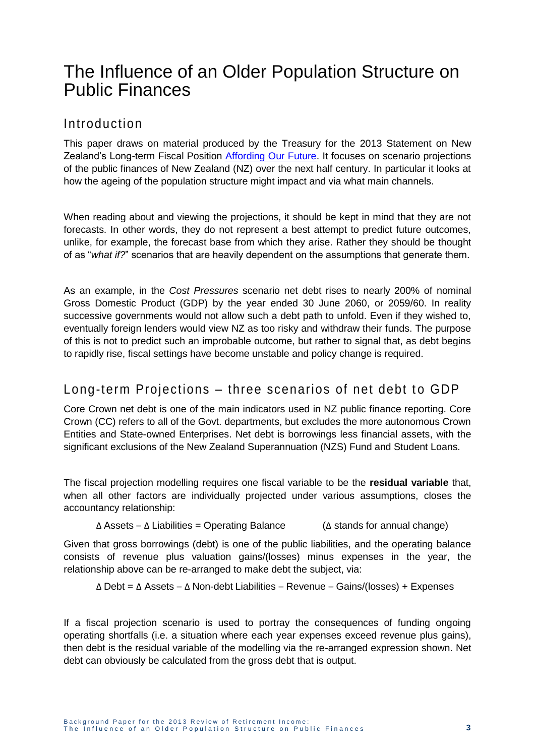# The Influence of an Older Population Structure on Public Finances

## Introduction

This paper draws on material produced by the Treasury for the 2013 Statement on New Zealand's Long-term Fiscal Position [Affording Our Future.](http://www.treasury.govt.nz/government/longterm/fiscalposition/2013) It focuses on scenario projections of the public finances of New Zealand (NZ) over the next half century. In particular it looks at how the ageing of the population structure might impact and via what main channels.

When reading about and viewing the projections, it should be kept in mind that they are not forecasts. In other words, they do not represent a best attempt to predict future outcomes, unlike, for example, the forecast base from which they arise. Rather they should be thought of as "*what if?*" scenarios that are heavily dependent on the assumptions that generate them.

As an example, in the *Cost Pressures* scenario net debt rises to nearly 200% of nominal Gross Domestic Product (GDP) by the year ended 30 June 2060, or 2059/60. In reality successive governments would not allow such a debt path to unfold. Even if they wished to, eventually foreign lenders would view NZ as too risky and withdraw their funds. The purpose of this is not to predict such an improbable outcome, but rather to signal that, as debt begins to rapidly rise, fiscal settings have become unstable and policy change is required.

# Long-term Projections – three scenarios of net debt to GDP

Core Crown net debt is one of the main indicators used in NZ public finance reporting. Core Crown (CC) refers to all of the Govt. departments, but excludes the more autonomous Crown Entities and State-owned Enterprises. Net debt is borrowings less financial assets, with the significant exclusions of the New Zealand Superannuation (NZS) Fund and Student Loans.

The fiscal projection modelling requires one fiscal variable to be the **residual variable** that, when all other factors are individually projected under various assumptions, closes the accountancy relationship:

 $\triangle$  Assets –  $\triangle$  Liabilities = Operating Balance ( $\triangle$  stands for annual change)

Given that gross borrowings (debt) is one of the public liabilities, and the operating balance consists of revenue plus valuation gains/(losses) minus expenses in the year, the relationship above can be re-arranged to make debt the subject, via:

Δ Debt = Δ Assets – Δ Non-debt Liabilities – Revenue – Gains/(losses) + Expenses

If a fiscal projection scenario is used to portray the consequences of funding ongoing operating shortfalls (i.e. a situation where each year expenses exceed revenue plus gains), then debt is the residual variable of the modelling via the re-arranged expression shown. Net debt can obviously be calculated from the gross debt that is output.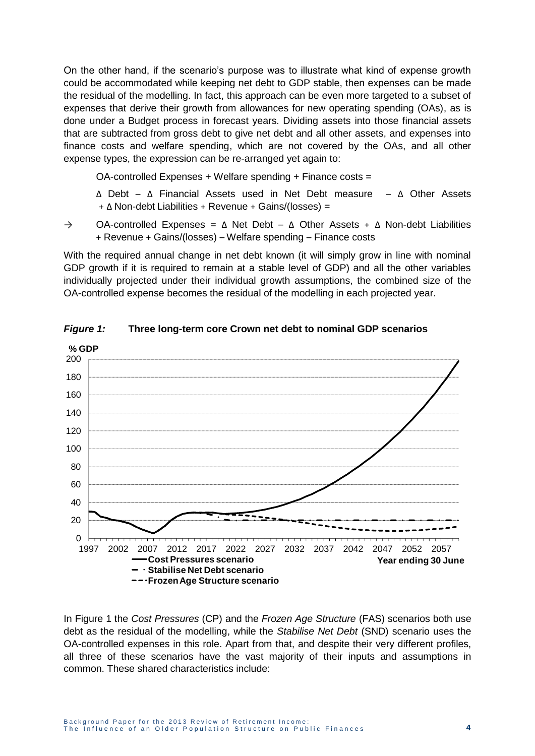On the other hand, if the scenario's purpose was to illustrate what kind of expense growth could be accommodated while keeping net debt to GDP stable, then expenses can be made the residual of the modelling. In fact, this approach can be even more targeted to a subset of expenses that derive their growth from allowances for new operating spending (OAs), as is done under a Budget process in forecast years. Dividing assets into those financial assets that are subtracted from gross debt to give net debt and all other assets, and expenses into finance costs and welfare spending, which are not covered by the OAs, and all other expense types, the expression can be re-arranged yet again to:

OA-controlled Expenses + Welfare spending + Finance costs =

Δ Debt – Δ Financial Assets used in Net Debt measure – Δ Other Assets + Δ Non-debt Liabilities + Revenue + Gains/(losses) =

 $\rightarrow$  OA-controlled Expenses =  $\Delta$  Net Debt –  $\Delta$  Other Assets +  $\Delta$  Non-debt Liabilities + Revenue + Gains/(losses) – Welfare spending – Finance costs

With the required annual change in net debt known (it will simply grow in line with nominal GDP growth if it is required to remain at a stable level of GDP) and all the other variables individually projected under their individual growth assumptions, the combined size of the OA-controlled expense becomes the residual of the modelling in each projected year.



*Figure 1:* **Three long-term core Crown net debt to nominal GDP scenarios**

In Figure 1 the *Cost Pressures* (CP) and the *Frozen Age Structure* (FAS) scenarios both use debt as the residual of the modelling, while the *Stabilise Net Debt* (SND) scenario uses the OA-controlled expenses in this role. Apart from that, and despite their very different profiles, all three of these scenarios have the vast majority of their inputs and assumptions in common. These shared characteristics include: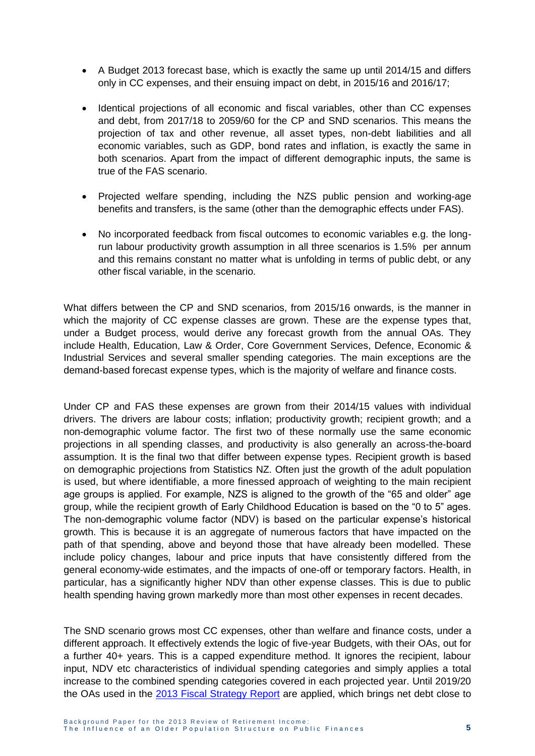- A Budget 2013 forecast base, which is exactly the same up until 2014/15 and differs only in CC expenses, and their ensuing impact on debt, in 2015/16 and 2016/17;
- Identical projections of all economic and fiscal variables, other than CC expenses and debt, from 2017/18 to 2059/60 for the CP and SND scenarios. This means the projection of tax and other revenue, all asset types, non-debt liabilities and all economic variables, such as GDP, bond rates and inflation, is exactly the same in both scenarios. Apart from the impact of different demographic inputs, the same is true of the FAS scenario.
- Projected welfare spending, including the NZS public pension and working-age benefits and transfers, is the same (other than the demographic effects under FAS).
- No incorporated feedback from fiscal outcomes to economic variables e.g. the longrun labour productivity growth assumption in all three scenarios is 1.5% per annum and this remains constant no matter what is unfolding in terms of public debt, or any other fiscal variable, in the scenario.

What differs between the CP and SND scenarios, from 2015/16 onwards, is the manner in which the majority of CC expense classes are grown. These are the expense types that, under a Budget process, would derive any forecast growth from the annual OAs. They include Health, Education, Law & Order, Core Government Services, Defence, Economic & Industrial Services and several smaller spending categories. The main exceptions are the demand-based forecast expense types, which is the majority of welfare and finance costs.

Under CP and FAS these expenses are grown from their 2014/15 values with individual drivers. The drivers are labour costs; inflation; productivity growth; recipient growth; and a non-demographic volume factor. The first two of these normally use the same economic projections in all spending classes, and productivity is also generally an across-the-board assumption. It is the final two that differ between expense types. Recipient growth is based on demographic projections from Statistics NZ. Often just the growth of the adult population is used, but where identifiable, a more finessed approach of weighting to the main recipient age groups is applied. For example, NZS is aligned to the growth of the "65 and older" age group, while the recipient growth of Early Childhood Education is based on the "0 to 5" ages. The non-demographic volume factor (NDV) is based on the particular expense's historical growth. This is because it is an aggregate of numerous factors that have impacted on the path of that spending, above and beyond those that have already been modelled. These include policy changes, labour and price inputs that have consistently differed from the general economy-wide estimates, and the impacts of one-off or temporary factors. Health, in particular, has a significantly higher NDV than other expense classes. This is due to public health spending having grown markedly more than most other expenses in recent decades.

The SND scenario grows most CC expenses, other than welfare and finance costs, under a different approach. It effectively extends the logic of five-year Budgets, with their OAs, out for a further 40+ years. This is a capped expenditure method. It ignores the recipient, labour input, NDV etc characteristics of individual spending categories and simply applies a total increase to the combined spending categories covered in each projected year. Until 2019/20 the OAs used in the [2013 Fiscal Strategy Report](http://www.treasury.govt.nz/budget/2013/fsr/07.htm) are applied, which brings net debt close to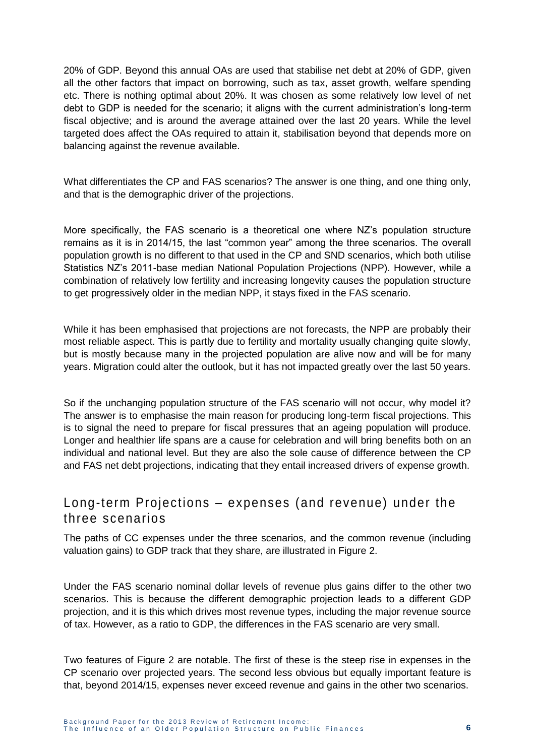20% of GDP. Beyond this annual OAs are used that stabilise net debt at 20% of GDP, given all the other factors that impact on borrowing, such as tax, asset growth, welfare spending etc. There is nothing optimal about 20%. It was chosen as some relatively low level of net debt to GDP is needed for the scenario; it aligns with the current administration's long-term fiscal objective; and is around the average attained over the last 20 years. While the level targeted does affect the OAs required to attain it, stabilisation beyond that depends more on balancing against the revenue available.

What differentiates the CP and FAS scenarios? The answer is one thing, and one thing only, and that is the demographic driver of the projections.

More specifically, the FAS scenario is a theoretical one where NZ's population structure remains as it is in 2014/15, the last "common year" among the three scenarios. The overall population growth is no different to that used in the CP and SND scenarios, which both utilise Statistics NZ's 2011-base median National Population Projections (NPP). However, while a combination of relatively low fertility and increasing longevity causes the population structure to get progressively older in the median NPP, it stays fixed in the FAS scenario.

While it has been emphasised that projections are not forecasts, the NPP are probably their most reliable aspect. This is partly due to fertility and mortality usually changing quite slowly, but is mostly because many in the projected population are alive now and will be for many years. Migration could alter the outlook, but it has not impacted greatly over the last 50 years.

So if the unchanging population structure of the FAS scenario will not occur, why model it? The answer is to emphasise the main reason for producing long-term fiscal projections. This is to signal the need to prepare for fiscal pressures that an ageing population will produce. Longer and healthier life spans are a cause for celebration and will bring benefits both on an individual and national level. But they are also the sole cause of difference between the CP and FAS net debt projections, indicating that they entail increased drivers of expense growth.

#### Long-term Projections – expenses (and revenue) under the three scenarios

The paths of CC expenses under the three scenarios, and the common revenue (including valuation gains) to GDP track that they share, are illustrated in Figure 2.

Under the FAS scenario nominal dollar levels of revenue plus gains differ to the other two scenarios. This is because the different demographic projection leads to a different GDP projection, and it is this which drives most revenue types, including the major revenue source of tax. However, as a ratio to GDP, the differences in the FAS scenario are very small.

Two features of Figure 2 are notable. The first of these is the steep rise in expenses in the CP scenario over projected years. The second less obvious but equally important feature is that, beyond 2014/15, expenses never exceed revenue and gains in the other two scenarios.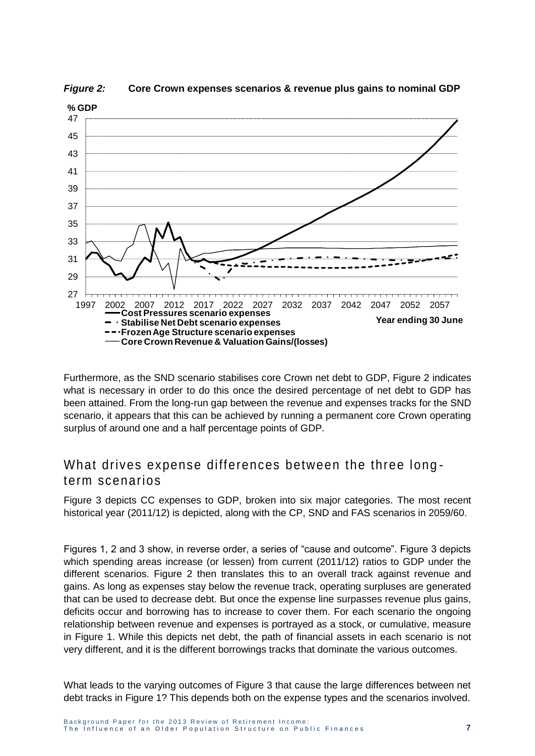

*Figure 2:* **Core Crown expenses scenarios & revenue plus gains to nominal GDP**

Furthermore, as the SND scenario stabilises core Crown net debt to GDP, Figure 2 indicates what is necessary in order to do this once the desired percentage of net debt to GDP has been attained. From the long-run gap between the revenue and expenses tracks for the SND scenario, it appears that this can be achieved by running a permanent core Crown operating surplus of around one and a half percentage points of GDP.

#### What drives expense differences between the three long term scenarios

Figure 3 depicts CC expenses to GDP, broken into six major categories. The most recent historical year (2011/12) is depicted, along with the CP, SND and FAS scenarios in 2059/60.

Figures 1, 2 and 3 show, in reverse order, a series of "cause and outcome". Figure 3 depicts which spending areas increase (or lessen) from current (2011/12) ratios to GDP under the different scenarios. Figure 2 then translates this to an overall track against revenue and gains. As long as expenses stay below the revenue track, operating surpluses are generated that can be used to decrease debt. But once the expense line surpasses revenue plus gains, deficits occur and borrowing has to increase to cover them. For each scenario the ongoing relationship between revenue and expenses is portrayed as a stock, or cumulative, measure in Figure 1. While this depicts net debt, the path of financial assets in each scenario is not very different, and it is the different borrowings tracks that dominate the various outcomes.

What leads to the varying outcomes of Figure 3 that cause the large differences between net debt tracks in Figure 1? This depends both on the expense types and the scenarios involved.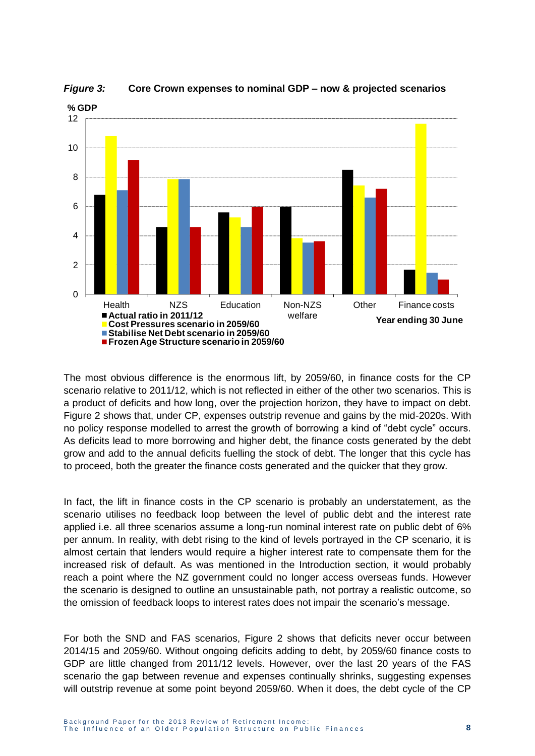

*Figure 3:* **Core Crown expenses to nominal GDP – now & projected scenarios**

The most obvious difference is the enormous lift, by 2059/60, in finance costs for the CP scenario relative to 2011/12, which is not reflected in either of the other two scenarios. This is a product of deficits and how long, over the projection horizon, they have to impact on debt. Figure 2 shows that, under CP, expenses outstrip revenue and gains by the mid-2020s. With no policy response modelled to arrest the growth of borrowing a kind of "debt cycle" occurs. As deficits lead to more borrowing and higher debt, the finance costs generated by the debt grow and add to the annual deficits fuelling the stock of debt. The longer that this cycle has to proceed, both the greater the finance costs generated and the quicker that they grow.

In fact, the lift in finance costs in the CP scenario is probably an understatement, as the scenario utilises no feedback loop between the level of public debt and the interest rate applied i.e. all three scenarios assume a long-run nominal interest rate on public debt of 6% per annum. In reality, with debt rising to the kind of levels portrayed in the CP scenario, it is almost certain that lenders would require a higher interest rate to compensate them for the increased risk of default. As was mentioned in the Introduction section, it would probably reach a point where the NZ government could no longer access overseas funds. However the scenario is designed to outline an unsustainable path, not portray a realistic outcome, so the omission of feedback loops to interest rates does not impair the scenario's message.

For both the SND and FAS scenarios, Figure 2 shows that deficits never occur between 2014/15 and 2059/60. Without ongoing deficits adding to debt, by 2059/60 finance costs to GDP are little changed from 2011/12 levels. However, over the last 20 years of the FAS scenario the gap between revenue and expenses continually shrinks, suggesting expenses will outstrip revenue at some point beyond 2059/60. When it does, the debt cycle of the CP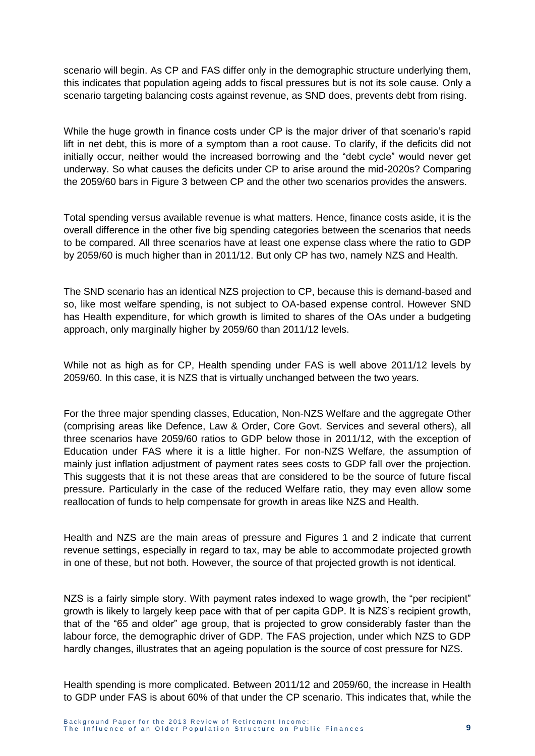scenario will begin. As CP and FAS differ only in the demographic structure underlying them, this indicates that population ageing adds to fiscal pressures but is not its sole cause. Only a scenario targeting balancing costs against revenue, as SND does, prevents debt from rising.

While the huge growth in finance costs under CP is the major driver of that scenario's rapid lift in net debt, this is more of a symptom than a root cause. To clarify, if the deficits did not initially occur, neither would the increased borrowing and the "debt cycle" would never get underway. So what causes the deficits under CP to arise around the mid-2020s? Comparing the 2059/60 bars in Figure 3 between CP and the other two scenarios provides the answers.

Total spending versus available revenue is what matters. Hence, finance costs aside, it is the overall difference in the other five big spending categories between the scenarios that needs to be compared. All three scenarios have at least one expense class where the ratio to GDP by 2059/60 is much higher than in 2011/12. But only CP has two, namely NZS and Health.

The SND scenario has an identical NZS projection to CP, because this is demand-based and so, like most welfare spending, is not subject to OA-based expense control. However SND has Health expenditure, for which growth is limited to shares of the OAs under a budgeting approach, only marginally higher by 2059/60 than 2011/12 levels.

While not as high as for CP. Health spending under FAS is well above 2011/12 levels by 2059/60. In this case, it is NZS that is virtually unchanged between the two years.

For the three major spending classes, Education, Non-NZS Welfare and the aggregate Other (comprising areas like Defence, Law & Order, Core Govt. Services and several others), all three scenarios have 2059/60 ratios to GDP below those in 2011/12, with the exception of Education under FAS where it is a little higher. For non-NZS Welfare, the assumption of mainly just inflation adjustment of payment rates sees costs to GDP fall over the projection. This suggests that it is not these areas that are considered to be the source of future fiscal pressure. Particularly in the case of the reduced Welfare ratio, they may even allow some reallocation of funds to help compensate for growth in areas like NZS and Health.

Health and NZS are the main areas of pressure and Figures 1 and 2 indicate that current revenue settings, especially in regard to tax, may be able to accommodate projected growth in one of these, but not both. However, the source of that projected growth is not identical.

NZS is a fairly simple story. With payment rates indexed to wage growth, the "per recipient" growth is likely to largely keep pace with that of per capita GDP. It is NZS's recipient growth, that of the "65 and older" age group, that is projected to grow considerably faster than the labour force, the demographic driver of GDP. The FAS projection, under which NZS to GDP hardly changes, illustrates that an ageing population is the source of cost pressure for NZS.

Health spending is more complicated. Between 2011/12 and 2059/60, the increase in Health to GDP under FAS is about 60% of that under the CP scenario. This indicates that, while the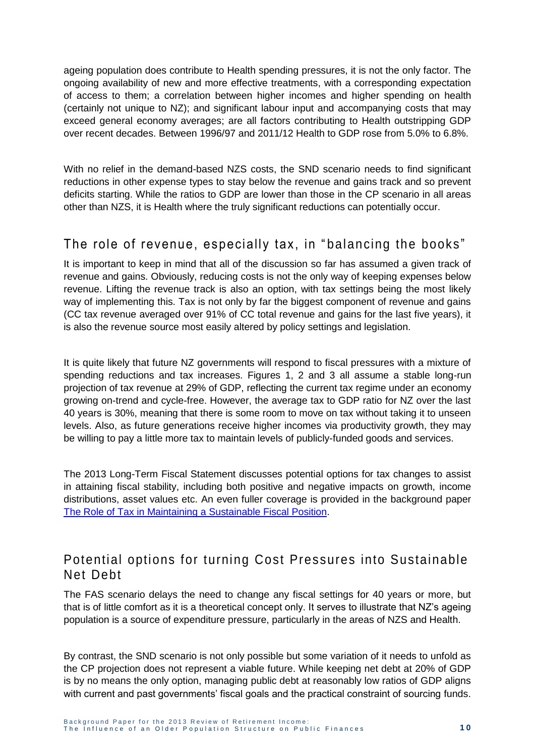ageing population does contribute to Health spending pressures, it is not the only factor. The ongoing availability of new and more effective treatments, with a corresponding expectation of access to them; a correlation between higher incomes and higher spending on health (certainly not unique to NZ); and significant labour input and accompanying costs that may exceed general economy averages; are all factors contributing to Health outstripping GDP over recent decades. Between 1996/97 and 2011/12 Health to GDP rose from 5.0% to 6.8%.

With no relief in the demand-based NZS costs, the SND scenario needs to find significant reductions in other expense types to stay below the revenue and gains track and so prevent deficits starting. While the ratios to GDP are lower than those in the CP scenario in all areas other than NZS, it is Health where the truly significant reductions can potentially occur.

## The role of revenue, especially tax, in " balancing the books"

It is important to keep in mind that all of the discussion so far has assumed a given track of revenue and gains. Obviously, reducing costs is not the only way of keeping expenses below revenue. Lifting the revenue track is also an option, with tax settings being the most likely way of implementing this. Tax is not only by far the biggest component of revenue and gains (CC tax revenue averaged over 91% of CC total revenue and gains for the last five years), it is also the revenue source most easily altered by policy settings and legislation.

It is quite likely that future NZ governments will respond to fiscal pressures with a mixture of spending reductions and tax increases. Figures 1, 2 and 3 all assume a stable long-run projection of tax revenue at 29% of GDP, reflecting the current tax regime under an economy growing on-trend and cycle-free. However, the average tax to GDP ratio for NZ over the last 40 years is 30%, meaning that there is some room to move on tax without taking it to unseen levels. Also, as future generations receive higher incomes via productivity growth, they may be willing to pay a little more tax to maintain levels of publicly-funded goods and services.

The 2013 Long-Term Fiscal Statement discusses potential options for tax changes to assist in attaining fiscal stability, including both positive and negative impacts on growth, income distributions, asset values etc. An even fuller coverage is provided in the background paper [The Role of Tax in Maintaining a Sustainable Fiscal Position.](http://www.treasury.govt.nz/government/longterm/fiscalposition/2013)

#### Potential options for turning Cost Pressures into Sustainable Net Debt

The FAS scenario delays the need to change any fiscal settings for 40 years or more, but that is of little comfort as it is a theoretical concept only. It serves to illustrate that NZ's ageing population is a source of expenditure pressure, particularly in the areas of NZS and Health.

By contrast, the SND scenario is not only possible but some variation of it needs to unfold as the CP projection does not represent a viable future. While keeping net debt at 20% of GDP is by no means the only option, managing public debt at reasonably low ratios of GDP aligns with current and past governments' fiscal goals and the practical constraint of sourcing funds.